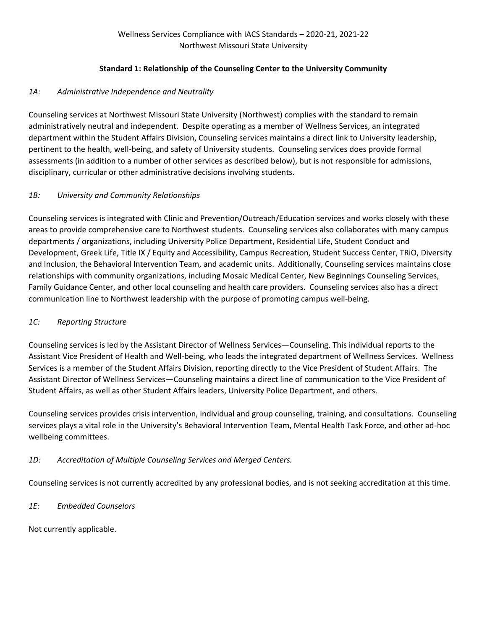#### **Standard 1: Relationship of the Counseling Center to the University Community**

### *1A: Administrative Independence and Neutrality*

Counseling services at Northwest Missouri State University (Northwest) complies with the standard to remain administratively neutral and independent. Despite operating as a member of Wellness Services, an integrated department within the Student Affairs Division, Counseling services maintains a direct link to University leadership, pertinent to the health, well-being, and safety of University students. Counseling services does provide formal assessments (in addition to a number of other services as described below), but is not responsible for admissions, disciplinary, curricular or other administrative decisions involving students.

#### *1B: University and Community Relationships*

Counseling services is integrated with Clinic and Prevention/Outreach/Education services and works closely with these areas to provide comprehensive care to Northwest students. Counseling services also collaborates with many campus departments / organizations, including University Police Department, Residential Life, Student Conduct and Development, Greek Life, Title IX / Equity and Accessibility, Campus Recreation, Student Success Center, TRiO, Diversity and Inclusion, the Behavioral Intervention Team, and academic units. Additionally, Counseling services maintains close relationships with community organizations, including Mosaic Medical Center, New Beginnings Counseling Services, Family Guidance Center, and other local counseling and health care providers. Counseling services also has a direct communication line to Northwest leadership with the purpose of promoting campus well-being.

#### *1C: Reporting Structure*

Counseling services is led by the Assistant Director of Wellness Services—Counseling. This individual reports to the Assistant Vice President of Health and Well-being, who leads the integrated department of Wellness Services. Wellness Services is a member of the Student Affairs Division, reporting directly to the Vice President of Student Affairs. The Assistant Director of Wellness Services—Counseling maintains a direct line of communication to the Vice President of Student Affairs, as well as other Student Affairs leaders, University Police Department, and others.

Counseling services provides crisis intervention, individual and group counseling, training, and consultations. Counseling services plays a vital role in the University's Behavioral Intervention Team, Mental Health Task Force, and other ad-hoc wellbeing committees.

#### *1D: Accreditation of Multiple Counseling Services and Merged Centers.*

Counseling services is not currently accredited by any professional bodies, and is not seeking accreditation at this time.

#### *1E: Embedded Counselors*

Not currently applicable.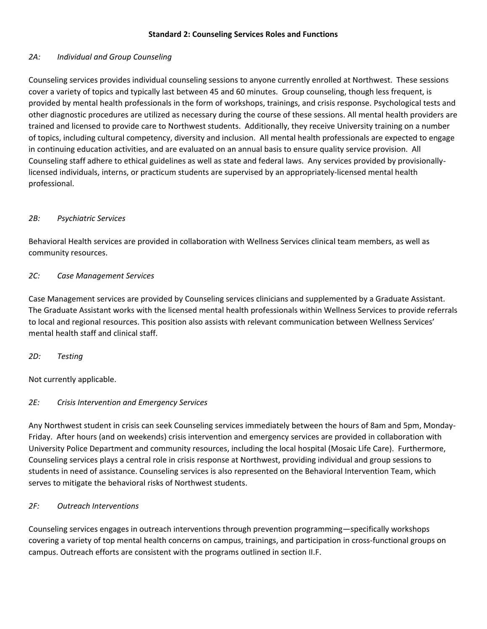#### **Standard 2: Counseling Services Roles and Functions**

#### *2A: Individual and Group Counseling*

Counseling services provides individual counseling sessions to anyone currently enrolled at Northwest. These sessions cover a variety of topics and typically last between 45 and 60 minutes. Group counseling, though less frequent, is provided by mental health professionals in the form of workshops, trainings, and crisis response. Psychological tests and other diagnostic procedures are utilized as necessary during the course of these sessions. All mental health providers are trained and licensed to provide care to Northwest students. Additionally, they receive University training on a number of topics, including cultural competency, diversity and inclusion. All mental health professionals are expected to engage in continuing education activities, and are evaluated on an annual basis to ensure quality service provision. All Counseling staff adhere to ethical guidelines as well as state and federal laws. Any services provided by provisionallylicensed individuals, interns, or practicum students are supervised by an appropriately-licensed mental health professional.

#### *2B: Psychiatric Services*

Behavioral Health services are provided in collaboration with Wellness Services clinical team members, as well as community resources.

#### *2C: Case Management Services*

Case Management services are provided by Counseling services clinicians and supplemented by a Graduate Assistant. The Graduate Assistant works with the licensed mental health professionals within Wellness Services to provide referrals to local and regional resources. This position also assists with relevant communication between Wellness Services' mental health staff and clinical staff.

*2D: Testing*

Not currently applicable.

#### *2E: Crisis Intervention and Emergency Services*

Any Northwest student in crisis can seek Counseling services immediately between the hours of 8am and 5pm, Monday-Friday. After hours (and on weekends) crisis intervention and emergency services are provided in collaboration with University Police Department and community resources, including the local hospital (Mosaic Life Care). Furthermore, Counseling services plays a central role in crisis response at Northwest, providing individual and group sessions to students in need of assistance. Counseling services is also represented on the Behavioral Intervention Team, which serves to mitigate the behavioral risks of Northwest students.

#### *2F: Outreach Interventions*

Counseling services engages in outreach interventions through prevention programming—specifically workshops covering a variety of top mental health concerns on campus, trainings, and participation in cross-functional groups on campus. Outreach efforts are consistent with the programs outlined in section II.F.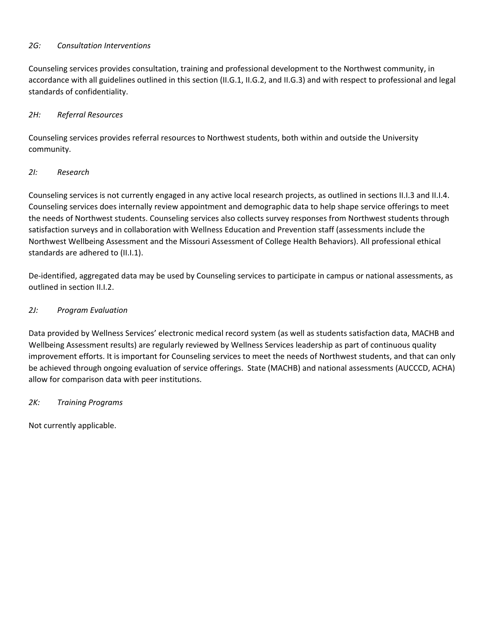#### *2G: Consultation Interventions*

Counseling services provides consultation, training and professional development to the Northwest community, in accordance with all guidelines outlined in this section (II.G.1, II.G.2, and II.G.3) and with respect to professional and legal standards of confidentiality.

#### *2H: Referral Resources*

Counseling services provides referral resources to Northwest students, both within and outside the University community.

#### *2I: Research*

Counseling services is not currently engaged in any active local research projects, as outlined in sections II.I.3 and II.I.4. Counseling services does internally review appointment and demographic data to help shape service offerings to meet the needs of Northwest students. Counseling services also collects survey responses from Northwest students through satisfaction surveys and in collaboration with Wellness Education and Prevention staff (assessments include the Northwest Wellbeing Assessment and the Missouri Assessment of College Health Behaviors). All professional ethical standards are adhered to (II.I.1).

De-identified, aggregated data may be used by Counseling services to participate in campus or national assessments, as outlined in section II.I.2.

#### *2J: Program Evaluation*

Data provided by Wellness Services' electronic medical record system (as well as students satisfaction data, MACHB and Wellbeing Assessment results) are regularly reviewed by Wellness Services leadership as part of continuous quality improvement efforts. It is important for Counseling services to meet the needs of Northwest students, and that can only be achieved through ongoing evaluation of service offerings. State (MACHB) and national assessments (AUCCCD, ACHA) allow for comparison data with peer institutions.

#### *2K: Training Programs*

Not currently applicable.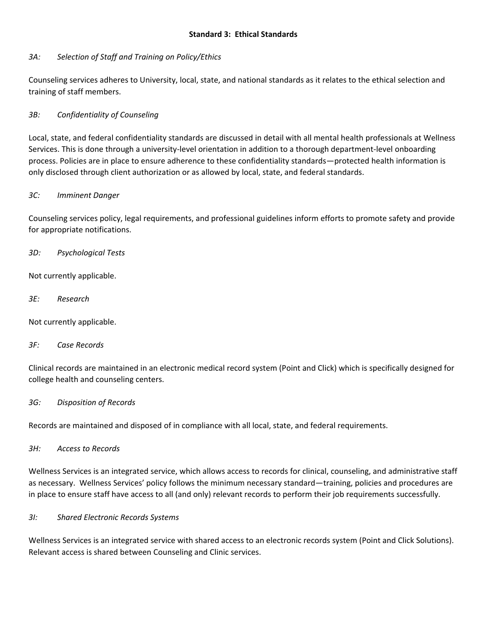#### **Standard 3: Ethical Standards**

#### *3A: Selection of Staff and Training on Policy/Ethics*

Counseling services adheres to University, local, state, and national standards as it relates to the ethical selection and training of staff members.

#### *3B: Confidentiality of Counseling*

Local, state, and federal confidentiality standards are discussed in detail with all mental health professionals at Wellness Services. This is done through a university-level orientation in addition to a thorough department-level onboarding process. Policies are in place to ensure adherence to these confidentiality standards—protected health information is only disclosed through client authorization or as allowed by local, state, and federal standards.

#### *3C: Imminent Danger*

Counseling services policy, legal requirements, and professional guidelines inform efforts to promote safety and provide for appropriate notifications.

#### *3D: Psychological Tests*

Not currently applicable.

*3E: Research*

Not currently applicable.

#### *3F: Case Records*

Clinical records are maintained in an electronic medical record system (Point and Click) which is specifically designed for college health and counseling centers.

#### *3G: Disposition of Records*

Records are maintained and disposed of in compliance with all local, state, and federal requirements.

*3H: Access to Records*

Wellness Services is an integrated service, which allows access to records for clinical, counseling, and administrative staff as necessary. Wellness Services' policy follows the minimum necessary standard—training, policies and procedures are in place to ensure staff have access to all (and only) relevant records to perform their job requirements successfully.

#### *3I: Shared Electronic Records Systems*

Wellness Services is an integrated service with shared access to an electronic records system (Point and Click Solutions). Relevant access is shared between Counseling and Clinic services.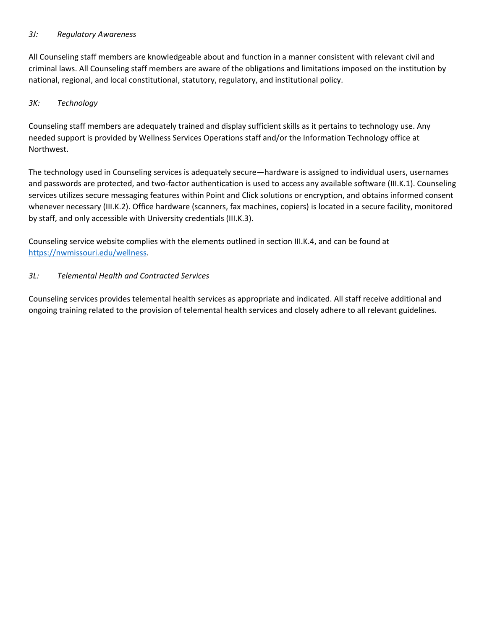#### *3J: Regulatory Awareness*

All Counseling staff members are knowledgeable about and function in a manner consistent with relevant civil and criminal laws. All Counseling staff members are aware of the obligations and limitations imposed on the institution by national, regional, and local constitutional, statutory, regulatory, and institutional policy.

#### *3K: Technology*

Counseling staff members are adequately trained and display sufficient skills as it pertains to technology use. Any needed support is provided by Wellness Services Operations staff and/or the Information Technology office at Northwest.

The technology used in Counseling services is adequately secure—hardware is assigned to individual users, usernames and passwords are protected, and two-factor authentication is used to access any available software (III.K.1). Counseling services utilizes secure messaging features within Point and Click solutions or encryption, and obtains informed consent whenever necessary (III.K.2). Office hardware (scanners, fax machines, copiers) is located in a secure facility, monitored by staff, and only accessible with University credentials (III.K.3).

Counseling service website complies with the elements outlined in section III.K.4, and can be found at [https://nwmissouri.edu/wellness.](https://nwmissouri.edu/wellness)

#### *3L: Telemental Health and Contracted Services*

Counseling services provides telemental health services as appropriate and indicated. All staff receive additional and ongoing training related to the provision of telemental health services and closely adhere to all relevant guidelines.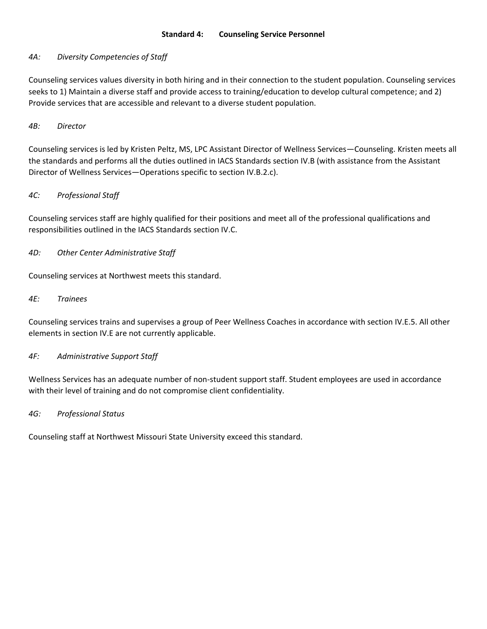#### *4A: Diversity Competencies of Staff*

Counseling services values diversity in both hiring and in their connection to the student population. Counseling services seeks to 1) Maintain a diverse staff and provide access to training/education to develop cultural competence; and 2) Provide services that are accessible and relevant to a diverse student population.

#### *4B: Director*

Counseling services is led by Kristen Peltz, MS, LPC Assistant Director of Wellness Services—Counseling. Kristen meets all the standards and performs all the duties outlined in IACS Standards section IV.B (with assistance from the Assistant Director of Wellness Services—Operations specific to section IV.B.2.c).

#### *4C: Professional Staff*

Counseling services staff are highly qualified for their positions and meet all of the professional qualifications and responsibilities outlined in the IACS Standards section IV.C.

#### *4D: Other Center Administrative Staff*

Counseling services at Northwest meets this standard.

#### *4E: Trainees*

Counseling services trains and supervises a group of Peer Wellness Coaches in accordance with section IV.E.5. All other elements in section IV.E are not currently applicable.

#### *4F: Administrative Support Staff*

Wellness Services has an adequate number of non-student support staff. Student employees are used in accordance with their level of training and do not compromise client confidentiality.

#### *4G: Professional Status*

Counseling staff at Northwest Missouri State University exceed this standard.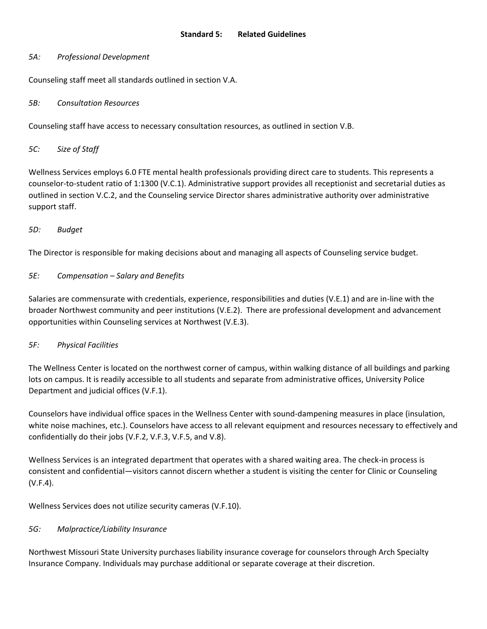#### *5A: Professional Development*

Counseling staff meet all standards outlined in section V.A.

#### *5B: Consultation Resources*

Counseling staff have access to necessary consultation resources, as outlined in section V.B.

#### *5C: Size of Staff*

Wellness Services employs 6.0 FTE mental health professionals providing direct care to students. This represents a counselor-to-student ratio of 1:1300 (V.C.1). Administrative support provides all receptionist and secretarial duties as outlined in section V.C.2, and the Counseling service Director shares administrative authority over administrative support staff.

#### *5D: Budget*

The Director is responsible for making decisions about and managing all aspects of Counseling service budget.

#### *5E: Compensation – Salary and Benefits*

Salaries are commensurate with credentials, experience, responsibilities and duties (V.E.1) and are in-line with the broader Northwest community and peer institutions (V.E.2). There are professional development and advancement opportunities within Counseling services at Northwest (V.E.3).

#### *5F: Physical Facilities*

The Wellness Center is located on the northwest corner of campus, within walking distance of all buildings and parking lots on campus. It is readily accessible to all students and separate from administrative offices, University Police Department and judicial offices (V.F.1).

Counselors have individual office spaces in the Wellness Center with sound-dampening measures in place (insulation, white noise machines, etc.). Counselors have access to all relevant equipment and resources necessary to effectively and confidentially do their jobs (V.F.2, V.F.3, V.F.5, and V.8).

Wellness Services is an integrated department that operates with a shared waiting area. The check-in process is consistent and confidential—visitors cannot discern whether a student is visiting the center for Clinic or Counseling (V.F.4).

Wellness Services does not utilize security cameras (V.F.10).

#### *5G: Malpractice/Liability Insurance*

Northwest Missouri State University purchases liability insurance coverage for counselors through Arch Specialty Insurance Company. Individuals may purchase additional or separate coverage at their discretion.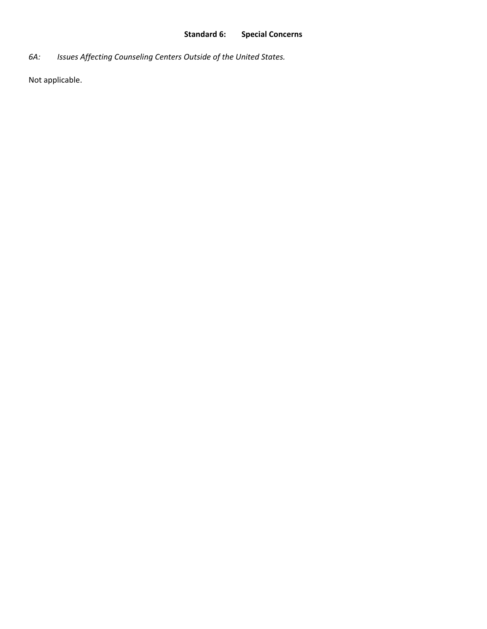# **Standard 6: Special Concerns**

*6A: Issues Affecting Counseling Centers Outside of the United States.*

Not applicable.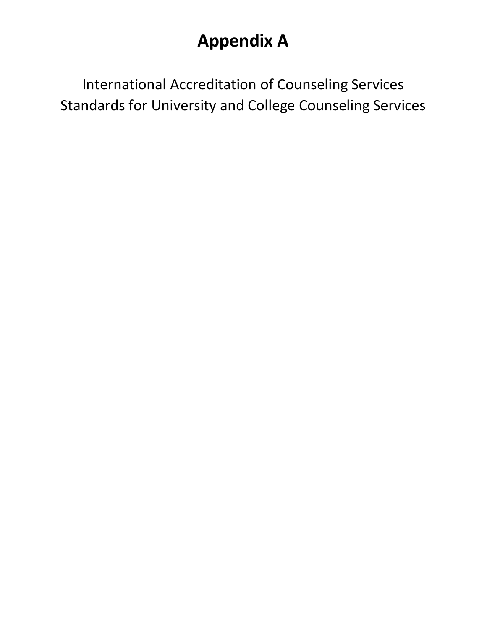# **Appendix A**

International Accreditation of Counseling Services Standards for University and College Counseling Services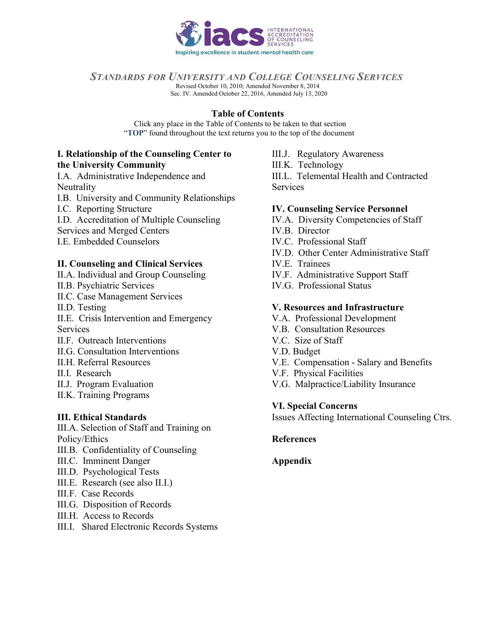

## <span id="page-9-1"></span><span id="page-9-0"></span>*STANDARDS FOR UNIVERSITY AND COLLEGE COUNSELING SERVICES*

Revised October 10, 2010; Amended November 8, 2014 Sec. IV. Amended October 22, 2016, Amended July 13, 2020

 **Table of Contents** 

Click any place in the Table of Contents to be taken to that section "**TOP**" found throughout the text returns you to the top of the document

#### **I. [Relationship of the Counseling Center to](#page-10-0) [the University Community](#page-10-0)**

I.A. [Administrative Independence and](#page-10-1) **[Neutrality](#page-10-1)** 

- I.B. [University and Community Relationships](#page-11-0)
- I.C. [Reporting Structure](#page-11-1)
- I.D. Accreditation of Multiple Counseling

Services and Merged Centers

[I.E. Embedded Counselors](#page-12-0)

## **II. [Counseling and Clinical Services](#page-12-1)**

- II.A. [Individual and Group Counseling](#page-13-0)
- II.B. [Psychiatric Services](#page-13-1)
- [II.C. Case Management Services](#page-13-2)
- [II.D. Testing](#page-14-0)

[II.E. Crisis Intervention and Emergency](#page-14-1) **[Services](#page-14-1)** 

- [II.F. Outreach Interventions](#page-14-2)
- II.G. [Consultation Interventions](#page-14-3)
- [II.H.](#page-14-3) [Referral Resources](#page-15-0)
- II.I. [Research](#page-15-1)
- II.J. [Program Evaluation](#page-16-0)
- [II.K. Training Programs](#page-16-1)

## **[III.](#page-16-1) [Ethical Standards](#page-16-2)**

III.A. [Selection of Staff and Training on](#page-16-3) [Policy/Ethics](#page-16-3)

- III.B. [Confidentiality of Counseling](#page-16-4)
- III.C. [Imminent Danger](#page-17-0)
- [III.D.](#page-17-0) [Psychological Tests](#page-17-1)
- III.E. [Research \(see also II.I.\)](#page-17-2)
- III.F. [Case Records](#page-17-3)
- III.G. [Disposition of Records](#page-17-4)
- III.H. [Access to Records](#page-18-0)
- III.I. [Shared Electronic Records Systems](#page-18-1)

III.J. [Regulatory Awareness](#page-18-2) III.K. [Technology](#page-18-3) [III.L. Telemental Health and Contracted](#page-19-0) **[Services](#page-19-0)** 

## **IV. [Counseling Service Personnel](#page-19-1)**

- IV.A. Diversity [Competencies of Staff](#page-19-2)
- IV.B. [Director](#page-19-3)
- [IV.C.](#page-19-3) [Professional Staff](#page-21-0)
- [IV.D. Other Center Administrative](#page-23-0) Staff
- [IV.E. Trainees](#page-23-1)
- IV.F. Administrative [Support Staff](#page-25-0)
- [IV.G. Professional Status](#page-26-0)

## **V. [Resources and Infrastructure](#page-25-1)**

- V.A. [Professional Development](#page-25-2)
- [V.B. Consultation Resources](#page-26-0)
- V.C. [Size of Staff](#page-26-1)
- [V.D. Budget](#page-26-2)
- V.E. [Compensation Salary and Benefits](#page-26-3)
- [V.F.](#page-26-3) [Physical Facilities](#page-27-0)
- [V.G. Malpractice/Liability Insurance](#page-28-0)

#### **VI. [Special Concerns](#page-28-1)**

[Issue](#page-28-1)s Affecting International Counseling Ctrs.

## **[References](#page-29-0)**

## **[Appendix](#page-31-0)**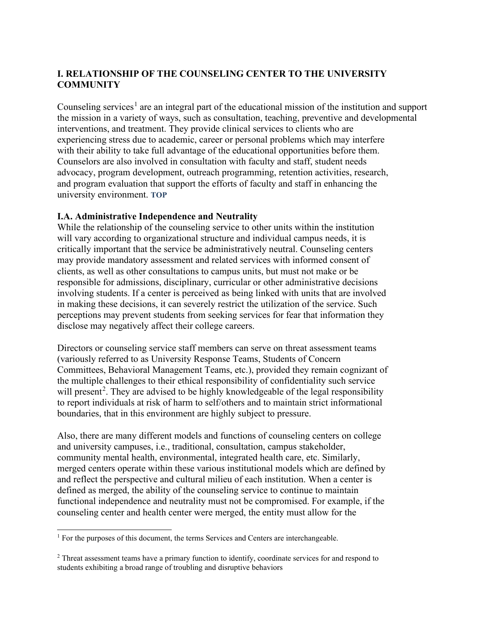# <span id="page-10-0"></span>**I. RELATIONSHIP OF THE COUNSELING CENTER TO THE UNIVERSITY COMMUNITY**

Counseling services<sup>[1](#page-10-2)</sup> are an integral part of the educational mission of the institution and support the mission in a variety of ways, such as consultation, teaching, preventive and developmental interventions, and treatment. They provide clinical services to clients who are experiencing stress due to academic, career or personal problems which may interfere with their ability to take full advantage of the educational opportunities before them. Counselors are also involved in consultation with faculty and staff, student needs advocacy, program development, outreach programming, retention activities, research, and program evaluation that support the efforts of faculty and staff in enhancing the university environment. **[TOP](#page-9-0)**

## <span id="page-10-1"></span>**I.A. Administrative Independence and Neutrality**

While the relationship of the counseling service to other units within the institution will vary according to organizational structure and individual campus needs, it is critically important that the service be administratively neutral. Counseling centers may provide mandatory assessment and related services with informed consent of clients, as well as other consultations to campus units, but must not make or be responsible for admissions, disciplinary, curricular or other administrative decisions involving students. If a center is perceived as being linked with units that are involved in making these decisions, it can severely restrict the utilization of the service. Such perceptions may prevent students from seeking services for fear that information they disclose may negatively affect their college careers.

Directors or counseling service staff members can serve on threat assessment teams (variously referred to as University Response Teams, Students of Concern Committees, Behavioral Management Teams, etc.), provided they remain cognizant of the multiple challenges to their ethical responsibility of confidentiality such service will present<sup>[2](#page-10-3)</sup>. They are advised to be highly knowledgeable of the legal responsibility to report individuals at risk of harm to self/others and to maintain strict informational boundaries, that in this environment are highly subject to pressure.

Also, there are many different models and functions of counseling centers on college and university campuses, i.e., traditional, consultation, campus stakeholder, community mental health, environmental, integrated health care, etc. Similarly, merged centers operate within these various institutional models which are defined by and reflect the perspective and cultural milieu of each institution. When a center is defined as merged, the ability of the counseling service to continue to maintain functional independence and neutrality must not be compromised. For example, if the counseling center and health center were merged, the entity must allow for the

<span id="page-10-2"></span><sup>&</sup>lt;sup>1</sup> For the purposes of this document, the terms Services and Centers are interchangeable.

<span id="page-10-3"></span><sup>2</sup> Threat assessment teams have a primary function to identify, coordinate services for and respond to students exhibiting a broad range of troubling and disruptive behaviors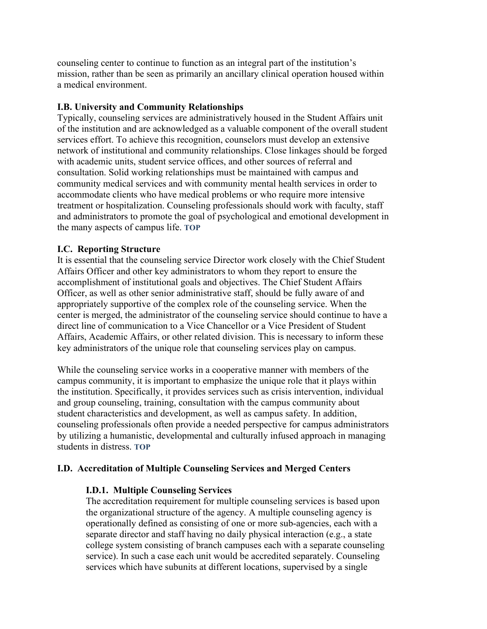counseling center to continue to function as an integral part of the institution's mission, rather than be seen as primarily an ancillary clinical operation housed within a medical environment.

## <span id="page-11-0"></span>**I.B. University and Community Relationships**

Typically, counseling services are administratively housed in the Student Affairs unit of the institution and are acknowledged as a valuable component of the overall student services effort. To achieve this recognition, counselors must develop an extensive network of institutional and community relationships. Close linkages should be forged with academic units, student service offices, and other sources of referral and consultation. Solid working relationships must be maintained with campus and community medical services and with community mental health services in order to accommodate clients who have medical problems or who require more intensive treatment or hospitalization. Counseling professionals should work with faculty, staff and administrators to promote the goal of psychological and emotional development in the many aspects of campus life. **[TOP](#page-9-0)**

#### <span id="page-11-1"></span>**I.C. Reporting Structure**

It is essential that the counseling service Director work closely with the Chief Student Affairs Officer and other key administrators to whom they report to ensure the accomplishment of institutional goals and objectives. The Chief Student Affairs Officer, as well as other senior administrative staff, should be fully aware of and appropriately supportive of the complex role of the counseling service. When the center is merged, the administrator of the counseling service should continue to have a direct line of communication to a Vice Chancellor or a Vice President of Student Affairs, Academic Affairs, or other related division. This is necessary to inform these key administrators of the unique role that counseling services play on campus.

While the counseling service works in a cooperative manner with members of the campus community, it is important to emphasize the unique role that it plays within the institution. Specifically, it provides services such as crisis intervention, individual and group counseling, training, consultation with the campus community about student characteristics and development, as well as campus safety. In addition, counseling professionals often provide a needed perspective for campus administrators by utilizing a humanistic, developmental and culturally infused approach in managing students in distress. **[TOP](#page-9-0)**

#### **I.D. Accreditation of Multiple Counseling Services and Merged Centers**

#### **I.D.1. Multiple Counseling Services**

The accreditation requirement for multiple counseling services is based upon the organizational structure of the agency. A multiple counseling agency is operationally defined as consisting of one or more sub-agencies, each with a separate director and staff having no daily physical interaction (e.g., a state college system consisting of branch campuses each with a separate counseling service). In such a case each unit would be accredited separately. Counseling services which have subunits at different locations, supervised by a single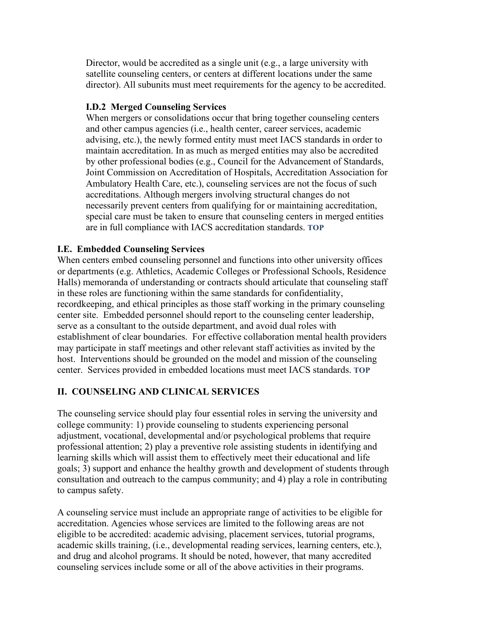Director, would be accredited as a single unit (e.g., a large university with satellite counseling centers, or centers at different locations under the same director). All subunits must meet requirements for the agency to be accredited.

## **I.D.2 Merged Counseling Services**

When mergers or consolidations occur that bring together counseling centers and other campus agencies (i.e., health center, career services, academic advising, etc.), the newly formed entity must meet IACS standards in order to maintain accreditation. In as much as merged entities may also be accredited by other professional bodies (e.g., Council for the Advancement of Standards, Joint Commission on Accreditation of Hospitals, Accreditation Association for Ambulatory Health Care, etc.), counseling services are not the focus of such accreditations. Although mergers involving structural changes do not necessarily prevent centers from qualifying for or maintaining accreditation, special care must be taken to ensure that counseling centers in merged entities are in full compliance with IACS accreditation standards. **[TOP](#page-9-1)**

# <span id="page-12-0"></span>**I.E. Embedded Counseling Services**

When centers embed counseling personnel and functions into other university offices or departments (e.g. Athletics, Academic Colleges or Professional Schools, Residence Halls) memoranda of understanding or contracts should articulate that counseling staff in these roles are functioning within the same standards for confidentiality, recordkeeping, and ethical principles as those staff working in the primary counseling center site. Embedded personnel should report to the counseling center leadership, serve as a consultant to the outside department, and avoid dual roles with establishment of clear boundaries. For effective collaboration mental health providers may participate in staff meetings and other relevant staff activities as invited by the host. Interventions should be grounded on the model and mission of the counseling center. Services provided in embedded locations must meet IACS standards. **[TOP](#page-9-1)**

# <span id="page-12-1"></span>**II. COUNSELING AND CLINICAL SERVICES**

The counseling service should play four essential roles in serving the university and college community: 1) provide counseling to students experiencing personal adjustment, vocational, developmental and/or psychological problems that require professional attention; 2) play a preventive role assisting students in identifying and learning skills which will assist them to effectively meet their educational and life goals; 3) support and enhance the healthy growth and development of students through consultation and outreach to the campus community; and 4) play a role in contributing to campus safety.

A counseling service must include an appropriate range of activities to be eligible for accreditation. Agencies whose services are limited to the following areas are not eligible to be accredited: academic advising, placement services, tutorial programs, academic skills training, (i.e., developmental reading services, learning centers, etc.), and drug and alcohol programs. It should be noted, however, that many accredited counseling services include some or all of the above activities in their programs.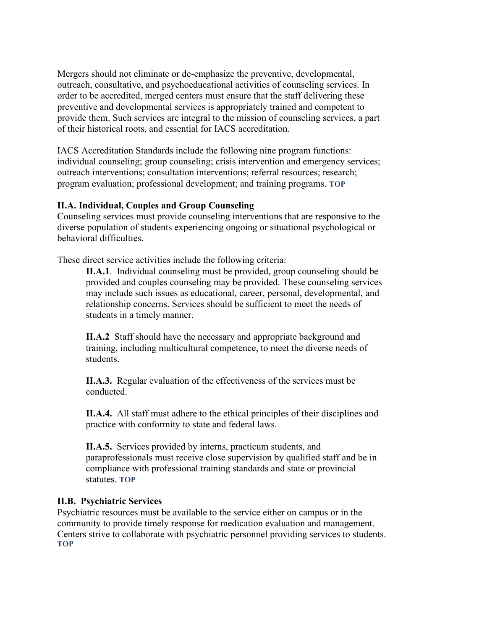Mergers should not eliminate or de-emphasize the preventive, developmental, outreach, consultative, and psychoeducational activities of counseling services. In order to be accredited, merged centers must ensure that the staff delivering these preventive and developmental services is appropriately trained and competent to provide them. Such services are integral to the mission of counseling services, a part of their historical roots, and essential for IACS accreditation.

IACS Accreditation Standards include the following nine program functions: individual counseling; group counseling; crisis intervention and emergency services; outreach interventions; consultation interventions; referral resources; research; program evaluation; professional development; and training programs. **[TOP](#page-9-0)**

## <span id="page-13-0"></span>**II.A. Individual, Couples and Group Counseling**

Counseling services must provide counseling interventions that are responsive to the diverse population of students experiencing ongoing or situational psychological or behavioral difficulties.

These direct service activities include the following criteria:

**II.A.1**. Individual counseling must be provided, group counseling should be provided and couples counseling may be provided. These counseling services may include such issues as educational, career, personal, developmental, and relationship concerns. Services should be sufficient to meet the needs of students in a timely manner.

**II.A.2** Staff should have the necessary and appropriate background and training, including multicultural competence, to meet the diverse needs of students.

**II.A.3.** Regular evaluation of the effectiveness of the services must be conducted.

**II.A.4.** All staff must adhere to the ethical principles of their disciplines and practice with conformity to state and federal laws.

**II.A.5.** Services provided by interns, practicum students, and paraprofessionals must receive close supervision by qualified staff and be in compliance with professional training standards and state or provincial statutes. **[TOP](#page-9-1)**

#### <span id="page-13-1"></span>**II.B. Psychiatric Services**

<span id="page-13-2"></span>Psychiatric resources must be available to the service either on campus or in the community to provide timely response for medication evaluation and management. Centers strive to collaborate with psychiatric personnel providing services to students. **[TOP](#page-9-0)**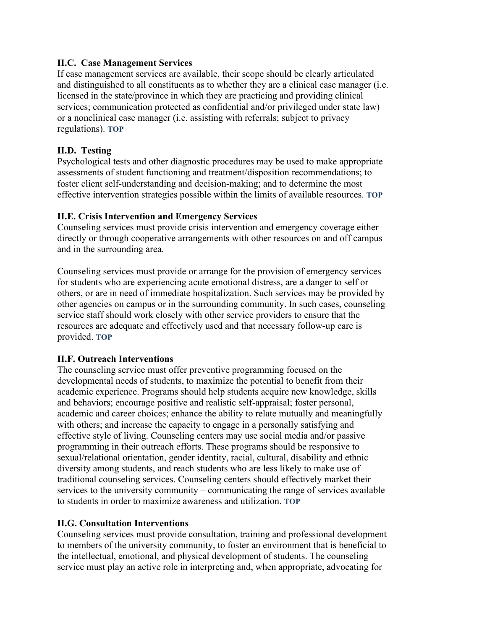## **II.C. Case Management Services**

If case management services are available, their scope should be clearly articulated and distinguished to all constituents as to whether they are a clinical case manager (i.e. licensed in the state/province in which they are practicing and providing clinical services; communication protected as confidential and/or privileged under state law) or a nonclinical case manager (i.e. assisting with referrals; subject to privacy regulations). **[TOP](#page-9-1)**

## <span id="page-14-0"></span>**II.D. Testing**

Psychological tests and other diagnostic procedures may be used to make appropriate assessments of student functioning and treatment/disposition recommendations; to foster client self-understanding and decision-making; and to determine the most effective intervention strategies possible within the limits of available resources. **[TOP](#page-9-1)**

## <span id="page-14-1"></span>**II.E. Crisis Intervention and Emergency Services**

Counseling services must provide crisis intervention and emergency coverage either directly or through cooperative arrangements with other resources on and off campus and in the surrounding area.

Counseling services must provide or arrange for the provision of emergency services for students who are experiencing acute emotional distress, are a danger to self or others, or are in need of immediate hospitalization. Such services may be provided by other agencies on campus or in the surrounding community. In such cases, counseling service staff should work closely with other service providers to ensure that the resources are adequate and effectively used and that necessary follow-up care is provided. **[TOP](#page-9-0)**

## <span id="page-14-2"></span>**II.F. Outreach Interventions**

The counseling service must offer preventive programming focused on the developmental needs of students, to maximize the potential to benefit from their academic experience. Programs should help students acquire new knowledge, skills and behaviors; encourage positive and realistic self-appraisal; foster personal, academic and career choices; enhance the ability to relate mutually and meaningfully with others; and increase the capacity to engage in a personally satisfying and effective style of living. Counseling centers may use social media and/or passive programming in their outreach efforts. These programs should be responsive to sexual/relational orientation, gender identity, racial, cultural, disability and ethnic diversity among students, and reach students who are less likely to make use of traditional counseling services. Counseling centers should effectively market their services to the university community – communicating the range of services available to students in order to maximize awareness and utilization. **[TOP](#page-9-0)**

#### <span id="page-14-3"></span>**II.G. Consultation Interventions**

Counseling services must provide consultation, training and professional development to members of the university community, to foster an environment that is beneficial to the intellectual, emotional, and physical development of students. The counseling service must play an active role in interpreting and, when appropriate, advocating for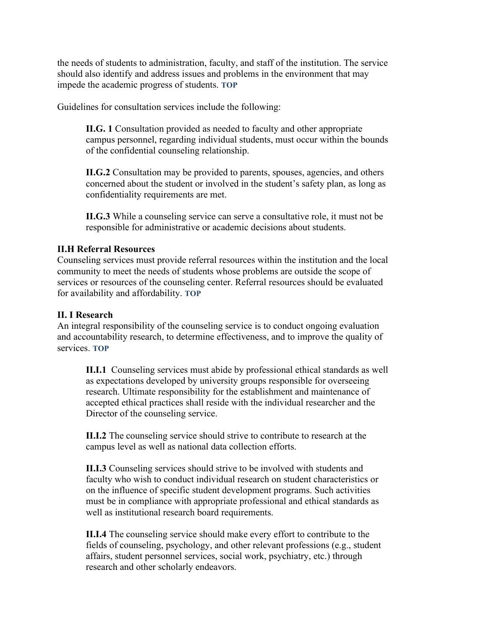the needs of students to administration, faculty, and staff of the institution. The service should also identify and address issues and problems in the environment that may impede the academic progress of students. **[TOP](#page-9-0)**

Guidelines for consultation services include the following:

**II.G. 1** Consultation provided as needed to faculty and other appropriate campus personnel, regarding individual students, must occur within the bounds of the confidential counseling relationship.

**II.G.2** Consultation may be provided to parents, spouses, agencies, and others concerned about the student or involved in the student's safety plan, as long as confidentiality requirements are met.

**II.G.3** While a counseling service can serve a consultative role, it must not be responsible for administrative or academic decisions about students.

## <span id="page-15-0"></span>**II.H Referral Resources**

Counseling services must provide referral resources within the institution and the local community to meet the needs of students whose problems are outside the scope of services or resources of the counseling center. Referral resources should be evaluated for availability and affordability. **[TOP](#page-9-0)**

## <span id="page-15-1"></span>**II. I Research**

An integral responsibility of the counseling service is to conduct ongoing evaluation and accountability research, to determine effectiveness, and to improve the quality of services. **[TOP](#page-9-0)**

**II.I.1** Counseling services must abide by professional ethical standards as well as expectations developed by university groups responsible for overseeing research. Ultimate responsibility for the establishment and maintenance of accepted ethical practices shall reside with the individual researcher and the Director of the counseling service.

**II.I.2** The counseling service should strive to contribute to research at the campus level as well as national data collection efforts.

**II.I.3** Counseling services should strive to be involved with students and faculty who wish to conduct individual research on student characteristics or on the influence of specific student development programs. Such activities must be in compliance with appropriate professional and ethical standards as well as institutional research board requirements.

**II.I.4** The counseling service should make every effort to contribute to the fields of counseling, psychology, and other relevant professions (e.g., student affairs, student personnel services, social work, psychiatry, etc.) through research and other scholarly endeavors.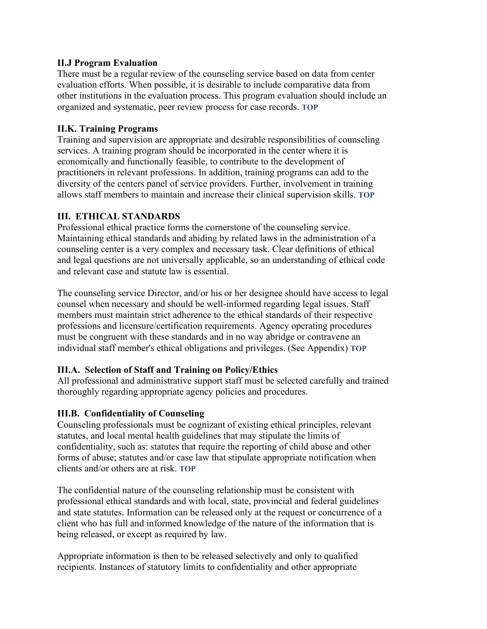## <span id="page-16-0"></span>**II.J Program Evaluation**

There must be a regular review of the counseling service based on data from center evaluation efforts. When possible, it is desirable to include comparative data from other institutions in the evaluation process. This program evaluation should include an organized and systematic, peer review process for case records. **[TOP](#page-9-1)**

## <span id="page-16-1"></span>**II.K. Training Programs**

Training and supervision are appropriate and desirable responsibilities of counseling services. A training program should be incorporated in the center where it is economically and functionally feasible, to contribute to the development of practitioners in relevant professions. In addition, training programs can add to the diversity of the centers panel of service providers. Further, involvement in training allows staff members to maintain and increase their clinical supervision skills. **[TOP](#page-9-1)**

## <span id="page-16-2"></span>**III. ETHICAL STANDARDS**

Professional ethical practice forms the cornerstone of the counseling service. Maintaining ethical standards and abiding by related laws in the administration of a counseling center is a very complex and necessary task. Clear definitions of ethical and legal questions are not universally applicable, so an understanding of ethical code and relevant case and statute law is essential.

The counseling service Director, and/or his or her designee should have access to legal counsel when necessary and should be well-informed regarding legal issues. Staff members must maintain strict adherence to the ethical standards of their respective professions and licensure/certification requirements. Agency operating procedures must be congruent with these standards and in no way abridge or contravene an individual staff member's ethical obligations and privileges. (See Appendix) **[TOP](#page-9-0)**

#### <span id="page-16-3"></span>**III.A. Selection of Staff and Training on Policy/Ethics**

All professional and administrative support staff must be selected carefully and trained thoroughly regarding appropriate agency policies and procedures.

#### <span id="page-16-4"></span>**III.B. Confidentiality of Counseling**

Counseling professionals must be cognizant of existing ethical principles, relevant statutes, and local mental health guidelines that may stipulate the limits of confidentiality, such as: statutes that require the reporting of child abuse and other forms of abuse; statutes and/or case law that stipulate appropriate notification when clients and/or others are at risk. **[TOP](#page-9-1)**

The confidential nature of the counseling relationship must be consistent with professional ethical standards and with local, state, provincial and federal guidelines and state statutes. Information can be released only at the request or concurrence of a client who has full and informed knowledge of the nature of the information that is being released, or except as required by law.

Appropriate information is then to be released selectively and only to qualified recipients. Instances of statutory limits to confidentiality and other appropriate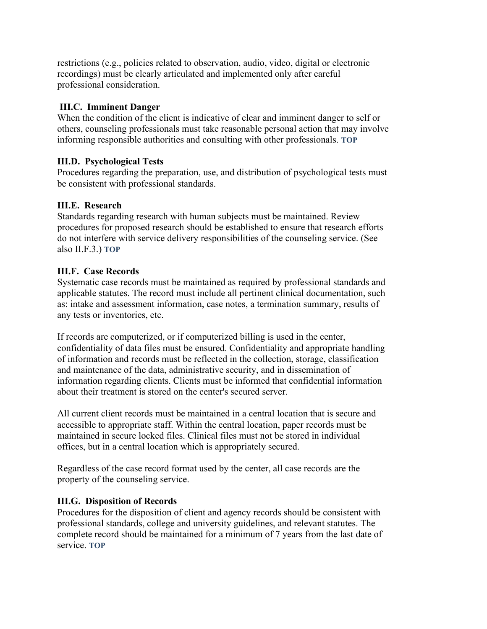restrictions (e.g., policies related to observation, audio, video, digital or electronic recordings) must be clearly articulated and implemented only after careful professional consideration.

## <span id="page-17-0"></span>**III.C. Imminent Danger**

When the condition of the client is indicative of clear and imminent danger to self or others, counseling professionals must take reasonable personal action that may involve informing responsible authorities and consulting with other professionals[.](#page-9-1) **[TOP](#page-9-1)**

# <span id="page-17-1"></span>**III.D. Psychological Tests**

Procedures regarding the preparation, use, and distribution of psychological tests must be consistent with professional standards.

# <span id="page-17-2"></span>**III.E. Research**

Standards regarding research with human subjects must be maintained. Review procedures for proposed research should be established to ensure that research efforts do not interfere with service delivery responsibilities of the counseling service. (See also II.F.3.) **[TOP](#page-9-0)**

# <span id="page-17-3"></span>**III.F. Case Records**

Systematic case records must be maintained as required by professional standards and applicable statutes. The record must include all pertinent clinical documentation, such as: intake and assessment information, case notes, a termination summary, results of any tests or inventories, etc.

If records are computerized, or if computerized billing is used in the center, confidentiality of data files must be ensured. Confidentiality and appropriate handling of information and records must be reflected in the collection, storage, classification and maintenance of the data, administrative security, and in dissemination of information regarding clients. Clients must be informed that confidential information about their treatment is stored on the center's secured server.

All current client records must be maintained in a central location that is secure and accessible to appropriate staff. Within the central location, paper records must be maintained in secure locked files. Clinical files must not be stored in individual offices, but in a central location which is appropriately secured.

Regardless of the case record format used by the center, all case records are the property of the counseling service.

## <span id="page-17-4"></span>**III.G. Disposition of Records**

Procedures for the disposition of client and agency records should be consistent with professional standards, college and university guidelines, and relevant statutes. The complete record should be maintained for a minimum of 7 years from the last date of service. **[TOP](#page-9-0)**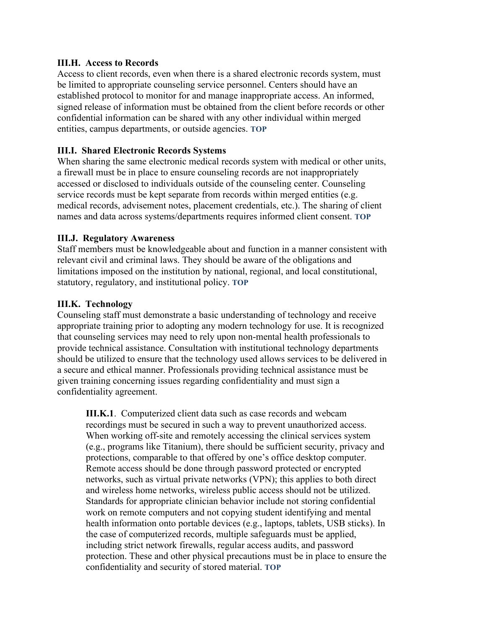#### <span id="page-18-0"></span>**III.H. Access to Records**

Access to client records, even when there is a shared electronic records system, must be limited to appropriate counseling service personnel. Centers should have an established protocol to monitor for and manage inappropriate access. An informed, signed release of information must be obtained from the client before records or other confidential information can be shared with any other individual within merged entities, campus departments, or outside agencies. **[TOP](#page-9-0)**

#### <span id="page-18-1"></span>**III.I. Shared Electronic Records Systems**

When sharing the same electronic medical records system with medical or other units, a firewall must be in place to ensure counseling records are not inappropriately accessed or disclosed to individuals outside of the counseling center. Counseling service records must be kept separate from records within merged entities (e.g. medical records, advisement notes, placement credentials, etc.). The sharing of client names and data across systems/departments requires informed client consent. **[TOP](#page-9-0)**

#### <span id="page-18-2"></span>**III.J. Regulatory Awareness**

Staff members must be knowledgeable about and function in a manner consistent with relevant civil and criminal laws. They should be aware of the obligations and limitations imposed on the institution by national, regional, and local constitutional, statutory, regulatory, and institutional policy. **[TOP](#page-9-0)**

#### <span id="page-18-3"></span>**III.K. Technology**

Counseling staff must demonstrate a basic understanding of technology and receive appropriate training prior to adopting any modern technology for use. It is recognized that counseling services may need to rely upon non-mental health professionals to provide technical assistance. Consultation with institutional technology departments should be utilized to ensure that the technology used allows services to be delivered in a secure and ethical manner. Professionals providing technical assistance must be given training concerning issues regarding confidentiality and must sign a confidentiality agreement.

**III.K.1**. Computerized client data such as case records and webcam recordings must be secured in such a way to prevent unauthorized access. When working off-site and remotely accessing the clinical services system (e.g., programs like Titanium), there should be sufficient security, privacy and protections, comparable to that offered by one's office desktop computer. Remote access should be done through password protected or encrypted networks, such as virtual private networks (VPN); this applies to both direct and wireless home networks, wireless public access should not be utilized. Standards for appropriate clinician behavior include not storing confidential work on remote computers and not copying student identifying and mental health information onto portable devices (e.g., laptops, tablets, USB sticks). In the case of computerized records, multiple safeguards must be applied, including strict network firewalls, regular access audits, and password protection. These and other physical precautions must be in place to ensure the confidentiality and security of stored material. **[TOP](#page-9-1)**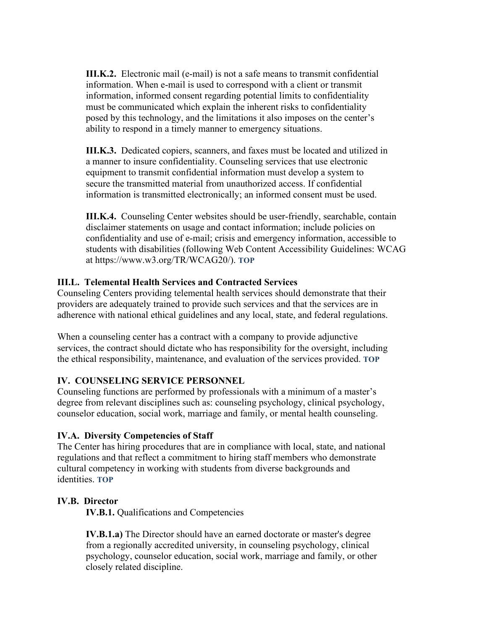**III.K.2.** Electronic mail (e-mail) is not a safe means to transmit confidential information. When e-mail is used to correspond with a client or transmit information, informed consent regarding potential limits to confidentiality must be communicated which explain the inherent risks to confidentiality posed by this technology, and the limitations it also imposes on the center's ability to respond in a timely manner to emergency situations.

**III.K.3.** Dedicated copiers, scanners, and faxes must be located and utilized in a manner to insure confidentiality. Counseling services that use electronic equipment to transmit confidential information must develop a system to secure the transmitted material from unauthorized access. If confidential information is transmitted electronically; an informed consent must be used.

**III.K.4.** Counseling Center websites should be user-friendly, searchable, contain disclaimer statements on usage and contact information; include policies on confidentiality and use of e-mail; crisis and emergency information, accessible to students with disabilities (following Web Content Accessibility Guidelines: WCAG at [https://www.w3.org/TR/WCAG20/\)](https://www.w3.org/TR/WCAG20/). **[TOP](#page-9-0)**

## <span id="page-19-0"></span>**III.L. Telemental Health Services and Contracted Services**

Counseling Centers providing telemental health services should demonstrate that their providers are adequately trained to provide such services and that the services are in adherence with national ethical guidelines and any local, state, and federal regulations.

When a counseling center has a contract with a company to provide adjunctive services, the contract should dictate who has responsibility for the oversight, including the ethical responsibility, maintenance, and evaluation of the services provided. **[TOP](#page-9-1)**

# <span id="page-19-1"></span>**IV. COUNSELING SERVICE PERSONNEL**

Counseling functions are performed by professionals with a minimum of a master's degree from relevant disciplines such as: counseling psychology, clinical psychology, counselor education, social work, marriage and family, or mental health counseling.

## <span id="page-19-2"></span>**IV.A. Diversity Competencies of Staff**

The Center has hiring procedures that are in compliance with local, state, and national regulations and that reflect a commitment to hiring staff members who demonstrate cultural competency in working with students from diverse backgrounds and identities. **[TOP](#page-9-1)**

## <span id="page-19-3"></span>**IV.B. Director**

**IV.B.1.** Qualifications and Competencies

**IV.B.1.a)** The Director should have an earned doctorate or master's degree from a regionally accredited university, in counseling psychology, clinical psychology, counselor education, social work, marriage and family, or other closely related discipline.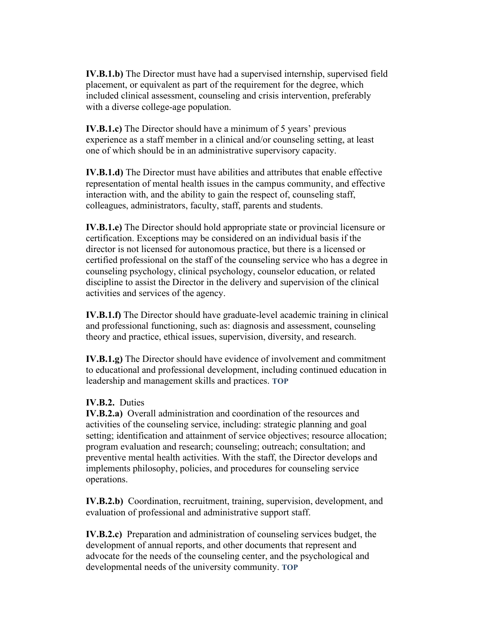**IV.B.1.b)** The Director must have had a supervised internship, supervised field placement, or equivalent as part of the requirement for the degree, which included clinical assessment, counseling and crisis intervention, preferably with a diverse college-age population.

**IV.B.1.c)** The Director should have a minimum of 5 years' previous experience as a staff member in a clinical and/or counseling setting, at least one of which should be in an administrative supervisory capacity.

**IV.B.1.d)** The Director must have abilities and attributes that enable effective representation of mental health issues in the campus community, and effective interaction with, and the ability to gain the respect of, counseling staff, colleagues, administrators, faculty, staff, parents and students.

**IV.B.1.e)** The Director should hold appropriate state or provincial licensure or certification. Exceptions may be considered on an individual basis if the director is not licensed for autonomous practice, but there is a licensed or certified professional on the staff of the counseling service who has a degree in counseling psychology, clinical psychology, counselor education, or related discipline to assist the Director in the delivery and supervision of the clinical activities and services of the agency.

**IV.B.1.f)** The Director should have graduate-level academic training in clinical and professional functioning, such as: diagnosis and assessment, counseling theory and practice, ethical issues, supervision, diversity, and research.

**IV.B.1.g)** The Director should have evidence of involvement and commitment to educational and professional development, including continued education in leadership and management skills and practices. **[TOP](#page-9-1)**

#### **IV.B.2.** Duties

**IV.B.2.a)** Overall administration and coordination of the resources and activities of the counseling service, including: strategic planning and goal setting; identification and attainment of service objectives; resource allocation; program evaluation and research; counseling; outreach; consultation; and preventive mental health activities. With the staff, the Director develops and implements philosophy, policies, and procedures for counseling service operations.

**IV.B.2.b)** Coordination, recruitment, training, supervision, development, and evaluation of professional and administrative support staff.

**IV.B.2.c)** Preparation and administration of counseling services budget, the development of annual reports, and other documents that represent and advocate for the needs of the counseling center, and the psychological and developmental needs of the university community. **[TOP](#page-9-1)**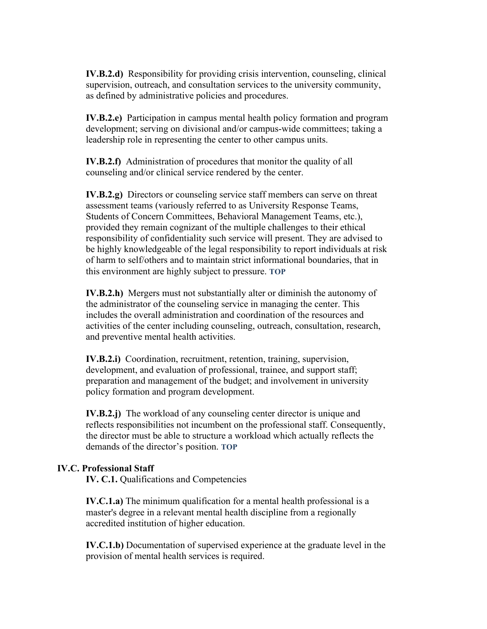**IV.B.2.d)** Responsibility for providing crisis intervention, counseling, clinical supervision, outreach, and consultation services to the university community, as defined by administrative policies and procedures.

**IV.B.2.e)** Participation in campus mental health policy formation and program development; serving on divisional and/or campus-wide committees; taking a leadership role in representing the center to other campus units.

**IV.B.2.f)** Administration of procedures that monitor the quality of all counseling and/or clinical service rendered by the center.

**IV.B.2.g)** Directors or counseling service staff members can serve on threat assessment teams (variously referred to as University Response Teams, Students of Concern Committees, Behavioral Management Teams, etc.), provided they remain cognizant of the multiple challenges to their ethical responsibility of confidentiality such service will present. They are advised to be highly knowledgeable of the legal responsibility to report individuals at risk of harm to self/others and to maintain strict informational boundaries, that in this environment are highly subject to pressure. **[TOP](#page-9-1)**

**IV.B.2.h)** Mergers must not substantially alter or diminish the autonomy of the administrator of the counseling service in managing the center. This includes the overall administration and coordination of the resources and activities of the center including counseling, outreach, consultation, research, and preventive mental health activities.

**IV.B.2.i)** Coordination, recruitment, retention, training, supervision, development, and evaluation of professional, trainee, and support staff; preparation and management of the budget; and involvement in university policy formation and program development.

**IV.B.2.j)** The workload of any counseling center director is unique and reflects responsibilities not incumbent on the professional staff. Consequently, the director must be able to structure a workload which actually reflects the demands of the director's position. **[TOP](#page-9-1)**

#### <span id="page-21-0"></span>**IV.C. Professional Staff**

**IV. C.1.** Qualifications and Competencies

**IV.C.1.a)** The minimum qualification for a mental health professional is a master's degree in a relevant mental health discipline from a regionally accredited institution of higher education.

**IV.C.1.b)** Documentation of supervised experience at the graduate level in the provision of mental health services is required.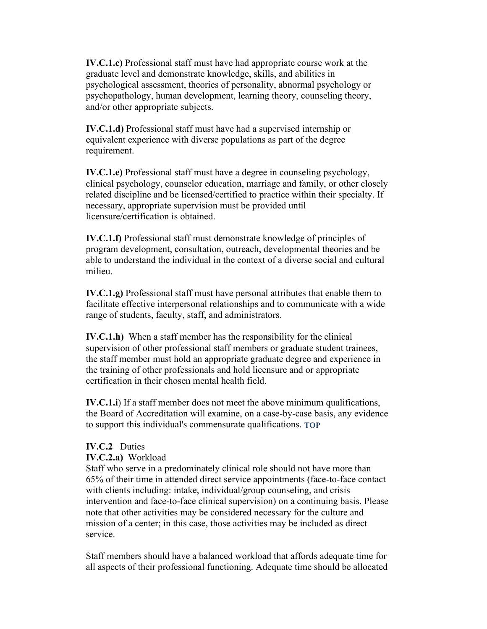**IV.C.1.c)** Professional staff must have had appropriate course work at the graduate level and demonstrate knowledge, skills, and abilities in psychological assessment, theories of personality, abnormal psychology or psychopathology, human development, learning theory, counseling theory, and/or other appropriate subjects.

**IV.C.1.d)** Professional staff must have had a supervised internship or equivalent experience with diverse populations as part of the degree requirement.

**IV.C.1.e)** Professional staff must have a degree in counseling psychology, clinical psychology, counselor education, marriage and family, or other closely related discipline and be licensed/certified to practice within their specialty. If necessary, appropriate supervision must be provided until licensure/certification is obtained.

**IV.C.1.f)** Professional staff must demonstrate knowledge of principles of program development, consultation, outreach, developmental theories and be able to understand the individual in the context of a diverse social and cultural milieu.

**IV.C.1.g**) Professional staff must have personal attributes that enable them to facilitate effective interpersonal relationships and to communicate with a wide range of students, faculty, staff, and administrators.

**IV.C.1.h)** When a staff member has the responsibility for the clinical supervision of other professional staff members or graduate student trainees, the staff member must hold an appropriate graduate degree and experience in the training of other professionals and hold licensure and or appropriate certification in their chosen mental health field.

**IV.C.1.i**) If a staff member does not meet the above minimum qualifications, the Board of Accreditation will examine, on a case-by-case basis, any evidence to support this individual's commensurate qualifications. **[TOP](#page-9-1)**

## **IV.C.2** Duties

#### **IV.C.2.a)** Workload

Staff who serve in a predominately clinical role should not have more than 65% of their time in attended direct service appointments (face-to-face contact with clients including: intake, individual/group counseling, and crisis intervention and face-to-face clinical supervision) on a continuing basis. Please note that other activities may be considered necessary for the culture and mission of a center; in this case, those activities may be included as direct service.

Staff members should have a balanced workload that affords adequate time for all aspects of their professional functioning. Adequate time should be allocated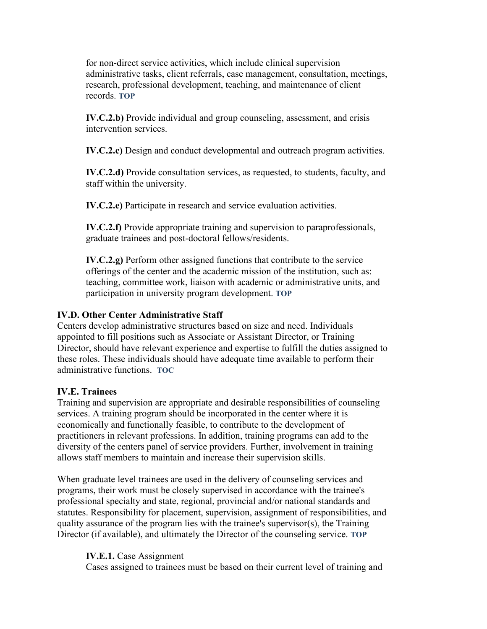for non-direct service activities, which include clinical supervision administrative tasks, client referrals, case management, consultation, meetings, research, professional development, teaching, and maintenance of client records. **TOP**

**IV.C.2.b)** Provide individual and group counseling, assessment, and crisis intervention services.

**IV.C.2.c)** Design and conduct developmental and outreach program activities.

**IV.C.2.d)** Provide consultation services, as requested, to students, faculty, and staff within the university.

**IV.C.2.e)** Participate in research and service evaluation activities.

**IV.C.2.f)** Provide appropriate training and supervision to paraprofessionals, graduate trainees and post-doctoral fellows/residents.

**IV.C.2.g)** Perform other assigned functions that contribute to the service offerings of the center and the academic mission of the institution, such as: teaching, committee work, liaison with academic or administrative units, and participation in university program development. **[TOP](#page-9-0)**

## <span id="page-23-0"></span>**IV.D. Other Center Administrative Staff**

Centers develop administrative structures based on size and need. Individuals appointed to fill positions such as Associate or Assistant Director, or Training Director, should have relevant experience and expertise to fulfill the duties assigned to these roles. These individuals should have adequate time available to perform their administrative functions. **[TOC](#page-9-0)**

#### <span id="page-23-1"></span>**IV.E. Trainees**

Training and supervision are appropriate and desirable responsibilities of counseling services. A training program should be incorporated in the center where it is economically and functionally feasible, to contribute to the development of practitioners in relevant professions. In addition, training programs can add to the diversity of the centers panel of service providers. Further, involvement in training allows staff members to maintain and increase their supervision skills.

When graduate level trainees are used in the delivery of counseling services and programs, their work must be closely supervised in accordance with the trainee's professional specialty and state, regional, provincial and/or national standards and statutes. Responsibility for placement, supervision, assignment of responsibilities, and quality assurance of the program lies with the trainee's supervisor(s), the Training Director (if available), and ultimately the Director of the counseling service. **[TOP](#page-9-1)**

#### **IV.E.1.** Case Assignment

Cases assigned to trainees must be based on their current level of training and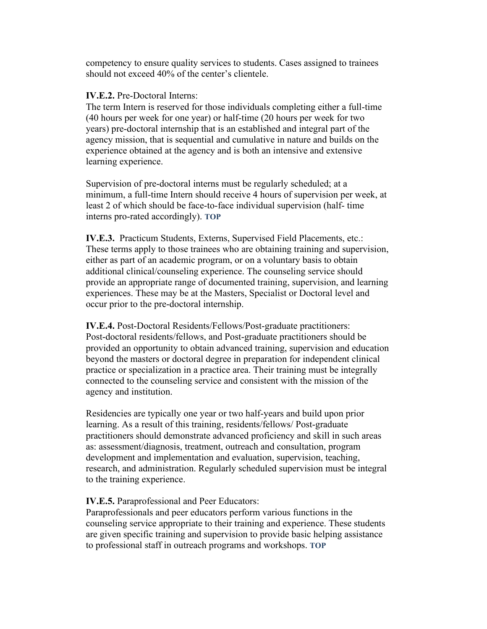competency to ensure quality services to students. Cases assigned to trainees should not exceed 40% of the center's clientele.

#### **IV.E.2.** Pre-Doctoral Interns:

The term Intern is reserved for those individuals completing either a full-time (40 hours per week for one year) or half-time (20 hours per week for two years) pre-doctoral internship that is an established and integral part of the agency mission, that is sequential and cumulative in nature and builds on the experience obtained at the agency and is both an intensive and extensive learning experience.

Supervision of pre-doctoral interns must be regularly scheduled; at a minimum, a full-time Intern should receive 4 hours of supervision per week, at least 2 of which should be face-to-face individual supervision (half- time interns pro-rated accordingly). **[TOP](#page-9-1)**

**IV.E.3.** Practicum Students, Externs, Supervised Field Placements, etc.: These terms apply to those trainees who are obtaining training and supervision, either as part of an academic program, or on a voluntary basis to obtain additional clinical/counseling experience. The counseling service should provide an appropriate range of documented training, supervision, and learning experiences. These may be at the Masters, Specialist or Doctoral level and occur prior to the pre-doctoral internship.

**IV.E.4.** Post-Doctoral Residents/Fellows/Post-graduate practitioners: Post-doctoral residents/fellows, and Post-graduate practitioners should be provided an opportunity to obtain advanced training, supervision and education beyond the masters or doctoral degree in preparation for independent clinical practice or specialization in a practice area. Their training must be integrally connected to the counseling service and consistent with the mission of the agency and institution.

Residencies are typically one year or two half-years and build upon prior learning. As a result of this training, residents/fellows/ Post-graduate practitioners should demonstrate advanced proficiency and skill in such areas as: assessment/diagnosis, treatment, outreach and consultation, program development and implementation and evaluation, supervision, teaching, research, and administration. Regularly scheduled supervision must be integral to the training experience.

#### **IV.E.5.** Paraprofessional and Peer Educators:

Paraprofessionals and peer educators perform various functions in the counseling service appropriate to their training and experience. These students are given specific training and supervision to provide basic helping assistance to professional staff in outreach programs and workshops. **[TOP](#page-9-1)**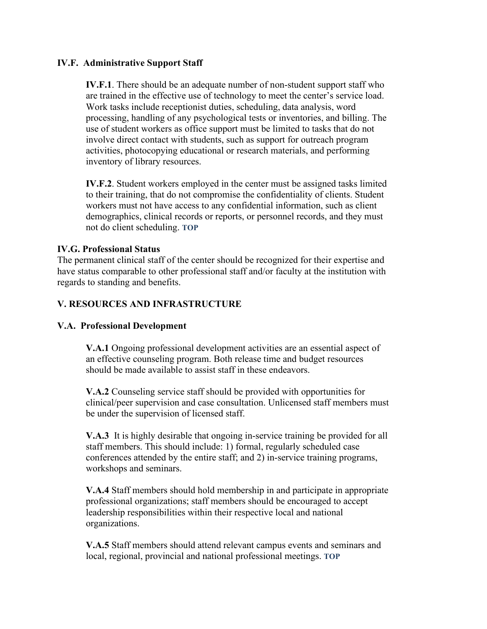## <span id="page-25-0"></span>**IV.F. Administrative Support Staff**

**IV.F.1**. There should be an adequate number of non-student support staff who are trained in the effective use of technology to meet the center's service load. Work tasks include receptionist duties, scheduling, data analysis, word processing, handling of any psychological tests or inventories, and billing. The use of student workers as office support must be limited to tasks that do not involve direct contact with students, such as support for outreach program activities, photocopying educational or research materials, and performing inventory of library resources.

**IV.F.2**. Student workers employed in the center must be assigned tasks limited to their training, that do not compromise the confidentiality of clients. Student workers must not have access to any confidential information, such as client demographics, clinical records or reports, or personnel records, and they must not do client scheduling. **[TOP](#page-9-1)**

## **IV.G. Professional Status**

The permanent clinical staff of the center should be recognized for their expertise and have status comparable to other professional staff and/or faculty at the institution with regards to standing and benefits[.](#page-9-1)

## <span id="page-25-1"></span>**V. RESOURCES AND INFRASTRUCTURE**

## <span id="page-25-2"></span>**V.A. Professional Development**

**V.A.1** Ongoing professional development activities are an essential aspect of an effective counseling program. Both release time and budget resources should be made available to assist staff in these endeavors.

**V.A.2** Counseling service staff should be provided with opportunities for clinical/peer supervision and case consultation. Unlicensed staff members must be under the supervision of licensed staff.

**V.A.3** It is highly desirable that ongoing in-service training be provided for all staff members. This should include: 1) formal, regularly scheduled case conferences attended by the entire staff; and 2) in-service training programs, workshops and seminars.

**V.A.4** Staff members should hold membership in and participate in appropriate professional organizations; staff members should be encouraged to accept leadership responsibilities within their respective local and national organizations.

**V.A.5** Staff members should attend relevant campus events and seminars and local, regional, provincial and national professional meetings. **[TOP](#page-9-0)**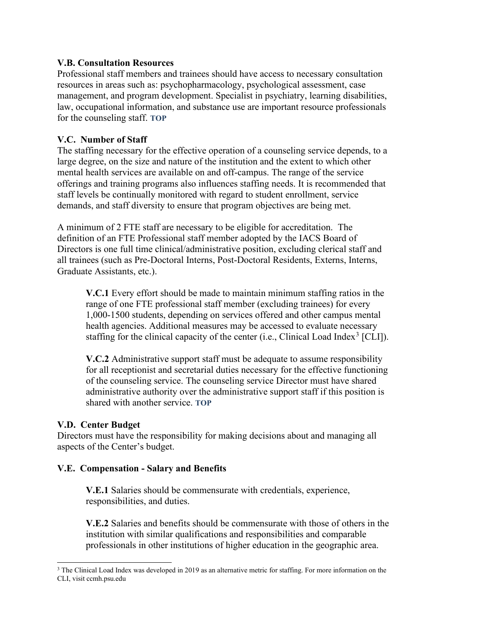## <span id="page-26-0"></span>**V.B. Consultation Resources**

Professional staff members and trainees should have access to necessary consultation resources in areas such as: psychopharmacology, psychological assessment, case management, and program development. Specialist in psychiatry, learning disabilities, law, occupational information, and substance use are important resource professionals for the counseling staff. **[TOP](#page-9-1)**

## <span id="page-26-1"></span>**V.C. Number of Staff**

The staffing necessary for the effective operation of a counseling service depends, to a large degree, on the size and nature of the institution and the extent to which other mental health services are available on and off-campus. The range of the service offerings and training programs also influences staffing needs. It is recommended that staff levels be continually monitored with regard to student enrollment, service demands, and staff diversity to ensure that program objectives are being met[.](#page-26-4)

A minimum of 2 FTE staff are necessary to be eligible for accreditation. The definition of an FTE Professional staff member adopted by the IACS Board of Directors is one full time clinical/administrative position, excluding clerical staff and all trainees (such as Pre-Doctoral Interns, Post-Doctoral Residents, Externs, Interns, Graduate Assistants, etc.).

**V.C.1** Every effort should be made to maintain minimum staffing ratios in the range of one FTE professional staff member (excluding trainees) for every 1,000-1500 students, depending on services offered and other campus mental health agencies. Additional measures may be accessed to evaluate necessary staffing for the clinical capacity of the center (i.e., Clinical Load Index<sup>[3](#page-26-5)</sup> [CLI]).

<span id="page-26-4"></span>**V.C.2** Administrative support staff must be adequate to assume responsibility for all receptionist and secretarial duties necessary for the effective functioning of the counseling service. The counseling service Director must have shared administrative authority over the administrative support staff if this position is shared with another service. **[TOP](#page-9-1)**

## <span id="page-26-2"></span>**V.D. Center Budget**

Directors must have the responsibility for making decisions about and managing all aspects of the Center's budget.

#### <span id="page-26-3"></span>**V.E. Compensation - Salary and Benefits**

**V.E.1** Salaries should be commensurate with credentials, experience, responsibilities, and duties.

**V.E.2** Salaries and benefits should be commensurate with those of others in the institution with similar qualifications and responsibilities and comparable professionals in other institutions of higher education in the geographic area.

<span id="page-26-5"></span><sup>&</sup>lt;sup>3</sup> The Clinical Load Index was developed in 2019 as an alternative metric for staffing. For more information on the CLI, visit ccmh.psu.edu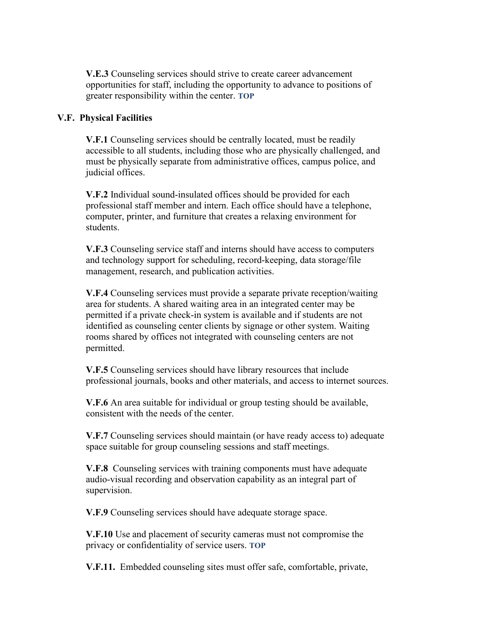**V.E.3** Counseling services should strive to create career advancement opportunities for staff, including the opportunity to advance to positions of greater responsibility within the center. **[TOP](#page-9-0)**

## <span id="page-27-0"></span>**V.F. Physical Facilities**

**V.F.1** Counseling services should be centrally located, must be readily accessible to all students, including those who are physically challenged, and must be physically separate from administrative offices, campus police, and judicial offices.

**V.F.2** Individual sound-insulated offices should be provided for each professional staff member and intern. Each office should have a telephone, computer, printer, and furniture that creates a relaxing environment for students.

**V.F.3** Counseling service staff and interns should have access to computers and technology support for scheduling, record-keeping, data storage/file management, research, and publication activities.

**V.F.4** Counseling services must provide a separate private reception/waiting area for students. A shared waiting area in an integrated center may be permitted if a private check-in system is available and if students are not identified as counseling center clients by signage or other system. Waiting rooms shared by offices not integrated with counseling centers are not permitted.

**V.F.5** Counseling services should have library resources that include professional journals, books and other materials, and access to internet sources.

**V.F.6** An area suitable for individual or group testing should be available, consistent with the needs of the center.

**V.F.7** Counseling services should maintain (or have ready access to) adequate space suitable for group counseling sessions and staff meetings.

**V.F.8** Counseling services with training components must have adequate audio-visual recording and observation capability as an integral part of supervision.

**V.F.9** Counseling services should have adequate storage space.

**V.F.10** Use and placement of security cameras must not compromise the privacy or confidentiality of service users. **[TOP](#page-9-1)**

**V.F.11.** Embedded counseling sites must offer safe, comfortable, private,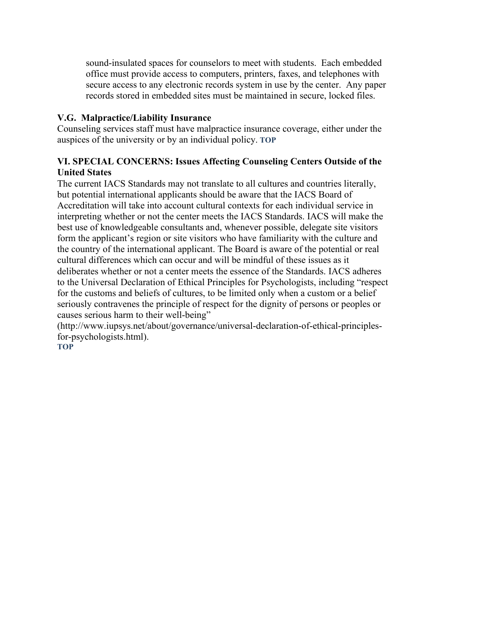sound-insulated spaces for counselors to meet with students. Each embedded office must provide access to computers, printers, faxes, and telephones with secure access to any electronic records system in use by the center. Any paper records stored in embedded sites must be maintained in secure, locked files.

# <span id="page-28-0"></span>**V.G. Malpractice/Liability Insurance**

Counseling services staff must have malpractice insurance coverage, either under the auspices of the university or by an individual policy. **[TOP](#page-9-0)**

# <span id="page-28-1"></span>**VI. SPECIAL CONCERNS: Issues Affecting Counseling Centers Outside of the United States**

The current IACS Standards may not translate to all cultures and countries literally, but potential international applicants should be aware that the IACS Board of Accreditation will take into account cultural contexts for each individual service in interpreting whether or not the center meets the IACS Standards. IACS will make the best use of knowledgeable consultants and, whenever possible, delegate site visitors form the applicant's region or site visitors who have familiarity with the culture and the country of the international applicant. The Board is aware of the potential or real cultural differences which can occur and will be mindful of these issues as it deliberates whether or not a center meets the essence of the Standards. IACS adheres to the Universal Declaration of Ethical Principles for Psychologists, including "respect for the customs and beliefs of cultures, to be limited only when a custom or a belief seriously contravenes the principle of respect for the dignity of persons or peoples or causes serious harm to their well-being"

[\(http://www.iupsys.net/about/governance/universal-declaration-of-ethical-principles](http://www.iupsys.net/about/governance/universal-declaration-of-ethical-principles-for-psychologists.html)[for-psychologists.html\)](http://www.iupsys.net/about/governance/universal-declaration-of-ethical-principles-for-psychologists.html).

**[TOP](#page-9-1)**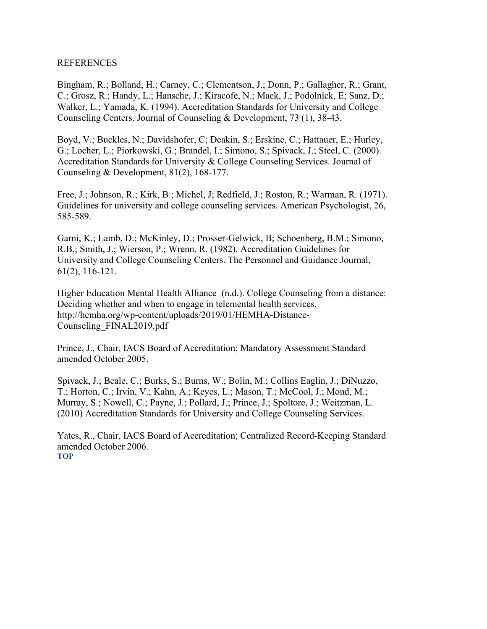#### <span id="page-29-0"></span>REFERENCES

Bingham, R.; Bolland, H.; Carney, C.; Clementson, J.; Donn, P.; Gallagher, R.; Grant, C.; Grosz, R.; Handy, L.; Hansche, J.; Kiracofe, N.; Mack, J.; Podolnick, E; Sanz, D.; Walker, L.; Yamada, K. (1994). Accreditation Standards for University and College Counseling Centers. Journal of Counseling & Development, 73 (1), 38-43.

Boyd, V.; Buckles, N.; Davidshofer, C; Deakin, S.; Erskine, C.; Hattauer, E.; Hurley, G.; Locher, L.; Piorkowski, G.; Brandel, I.; Simono, S.; Spivack, J.; Steel, C. (2000). Accreditation Standards for University & College Counseling Services. Journal of Counseling & Development, 81(2), 168-177.

Free, J.; Johnson, R.; Kirk, B.; Michel, J; Redfield, J.; Roston, R.; Warman, R. (1971). Guidelines for university and college counseling services. American Psychologist, 26, 585-589.

Garni, K.; Lamb, D.; McKinley, D.; Prosser-Gelwick, B; Schoenberg, B.M.; Simono, R.B.; Smith, J.; Wierson, P.; Wrenn, R. (1982). Accreditation Guidelines for University and College Counseling Centers. The Personnel and Guidance Journal, 61(2), 116-121.

Higher Education Mental Health Alliance (n.d.). College Counseling from a distance: Deciding whether and when to engage in telemental health services. [http://hemha.org/wp-content/uploads/2019/01/HEMHA-Distance-](http://hemha.org/wp-content/uploads/2019/01/HEMHA-Distance-Counseling_FINAL2019.pdf)[Counseling\\_FINAL2019.pdf](http://hemha.org/wp-content/uploads/2019/01/HEMHA-Distance-Counseling_FINAL2019.pdf)

Prince, J., Chair, IACS Board of Accreditation; Mandatory Assessment Standard amended October 2005.

Spivack, J.; Beale, C.; Burks, S.; Burns, W.; Bolin, M.; Collins Eaglin, J.; DiNuzzo, T.; Horton, C.; Irvin, V.; Kahn, A.; Keyes, L.; Mason, T.; McCool, J.; Mond, M.; Murray, S.; Nowell, C.; Payne, J.; Pollard, J.; Prince, J.; Spoltore, J.; Weitzman, L. (2010) Accreditation Standards for University and College Counseling Services.

Yates, R., Chair, IACS Board of Accreditation; Centralized Record-Keeping Standard amended October 2006. **[TOP](#page-9-0)**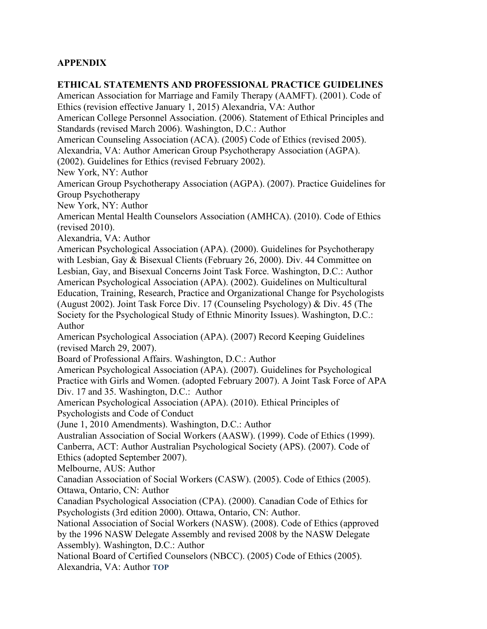# **APPENDIX**

# **ETHICAL STATEMENTS AND PROFESSIONAL PRACTICE GUIDELINES**

American Association for Marriage and Family Therapy (AAMFT). (2001). Code of Ethics (revision effective January 1, 2015) Alexandria, VA: Author American College Personnel Association. (2006). Statement of Ethical Principles and Standards (revised March 2006). Washington, D.C.: Author American Counseling Association (ACA). (2005) Code of Ethics (revised 2005). Alexandria, VA: Author American Group Psychotherapy Association (AGPA). (2002). Guidelines for Ethics (revised February 2002). New York, NY: Author American Group Psychotherapy Association (AGPA). (2007). Practice Guidelines for Group Psychotherapy New York, NY: Author American Mental Health Counselors Association (AMHCA). (2010). Code of Ethics (revised 2010). Alexandria, VA: Author American Psychological Association (APA). (2000). Guidelines for Psychotherapy with Lesbian, Gay & Bisexual Clients (February 26, 2000). Div. 44 Committee on Lesbian, Gay, and Bisexual Concerns Joint Task Force. Washington, D.C.: Author American Psychological Association (APA). (2002). Guidelines on Multicultural Education, Training, Research, Practice and Organizational Change for Psychologists (August 2002). Joint Task Force Div. 17 (Counseling Psychology) & Div. 45 (The Society for the Psychological Study of Ethnic Minority Issues). Washington, D.C.: Author American Psychological Association (APA). (2007) Record Keeping Guidelines (revised March 29, 2007). Board of Professional Affairs. Washington, D.C.: Author American Psychological Association (APA). (2007). Guidelines for Psychological Practice with Girls and Women. (adopted February 2007). A Joint Task Force of APA Div. 17 and 35. Washington, D.C.: Author American Psychological Association (APA). (2010). Ethical Principles of Psychologists and Code of Conduct (June 1, 2010 Amendments). Washington, D.C.: Author Australian Association of Social Workers (AASW). (1999). Code of Ethics (1999). Canberra, ACT: Author Australian Psychological Society (APS). (2007). Code of Ethics (adopted September 2007). Melbourne, AUS: Author Canadian Association of Social Workers (CASW). (2005). Code of Ethics (2005). Ottawa, Ontario, CN: Author Canadian Psychological Association (CPA). (2000). Canadian Code of Ethics for Psychologists (3rd edition 2000). Ottawa, Ontario, CN: Author. National Association of Social Workers (NASW). (2008). Code of Ethics (approved by the 1996 NASW Delegate Assembly and revised 2008 by the NASW Delegate Assembly). Washington, D.C.: Author National Board of Certified Counselors (NBCC). (2005) Code of Ethics (2005). Alexandria, VA: Author **[TOP](#page-9-0)**